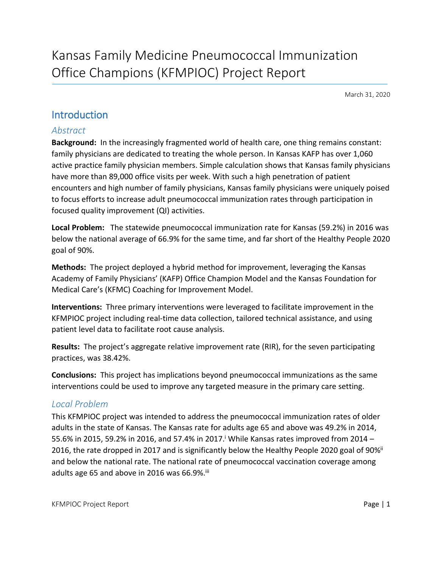March 31, 2020

# Introduction

### *Abstract*

**Background:** In the increasingly fragmented world of health care, one thing remains constant: family physicians are dedicated to treating the whole person. In Kansas KAFP has over 1,060 active practice family physician members. Simple calculation shows that Kansas family physicians have more than 89,000 office visits per week. With such a high penetration of patient encounters and high number of family physicians, Kansas family physicians were uniquely poised to focus efforts to increase adult pneumococcal immunization rates through participation in focused quality improvement (QI) activities.

**Local Problem:** The statewide pneumococcal immunization rate for Kansas (59.2%) in 2016 was below the national average of 66.9% for the same time, and far short of the Healthy People 2020 goal of 90%.

**Methods:** The project deployed a hybrid method for improvement, leveraging the Kansas Academy of Family Physicians' (KAFP) Office Champion Model and the Kansas Foundation for Medical Care's (KFMC) Coaching for Improvement Model.

**Interventions:** Three primary interventions were leveraged to facilitate improvement in the KFMPIOC project including real-time data collection, tailored technical assistance, and using patient level data to facilitate root cause analysis.

**Results:** The project's aggregate relative improvement rate (RIR), for the seven participating practices, was 38.42%.

**Conclusions:** This project has implications beyond pneumococcal immunizations as the same interventions could be used to improve any targeted measure in the primary care setting.

## *Local Problem*

This KFMPIOC project was intended to address the pneumococcal immunization rates of older adults in the state of Kansas. The Kansas rate for adults age 65 and above was 49.2% in 2014, 55.6% in 2015, 59.2% in 2016, and 57.4% in 2017.<sup>i</sup> While Kansas rates improved from 2014 -2016, the rate dropped in 2017 and is significantly below the Healthy People 2020 goal of 90%<sup>ii</sup> and below the national rate. The national rate of pneumococcal vaccination coverage among adults age 65 and above in 2016 was 66.9%. iii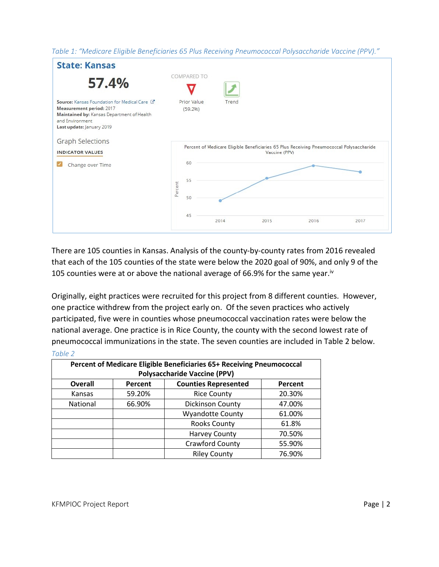*Table 1: "Medicare Eligible Beneficiaries 65 Plus Receiving Pneumococcal Polysaccharide Vaccine (PPV)."*



There are 105 counties in Kansas. Analysis of the county-by-county rates from 2016 revealed that each of the 105 counties of the state were below the 2020 goal of 90%, and only 9 of the 105 counties were at or above the national average of 66.9% for the same year.<sup>iv</sup>

Originally, eight practices were recruited for this project from 8 different counties. However, one practice withdrew from the project early on. Of the seven practices who actively participated, five were in counties whose pneumococcal vaccination rates were below the national average. One practice is in Rice County, the county with the second lowest rate of pneumococcal immunizations in the state. The seven counties are included in Table 2 below. *Table 2*

| Percent of Medicare Eligible Beneficiaries 65+ Receiving Pneumococcal<br><b>Polysaccharide Vaccine (PPV)</b> |         |                             |         |  |
|--------------------------------------------------------------------------------------------------------------|---------|-----------------------------|---------|--|
| <b>Overall</b>                                                                                               | Percent | <b>Counties Represented</b> | Percent |  |
| Kansas                                                                                                       | 59.20%  | <b>Rice County</b>          | 20.30%  |  |
| National                                                                                                     | 66.90%  | <b>Dickinson County</b>     | 47.00%  |  |
|                                                                                                              |         | <b>Wyandotte County</b>     | 61.00%  |  |
|                                                                                                              |         | <b>Rooks County</b>         | 61.8%   |  |
|                                                                                                              |         | <b>Harvey County</b>        | 70.50%  |  |
|                                                                                                              |         | <b>Crawford County</b>      | 55.90%  |  |
|                                                                                                              |         | <b>Riley County</b>         | 76.90%  |  |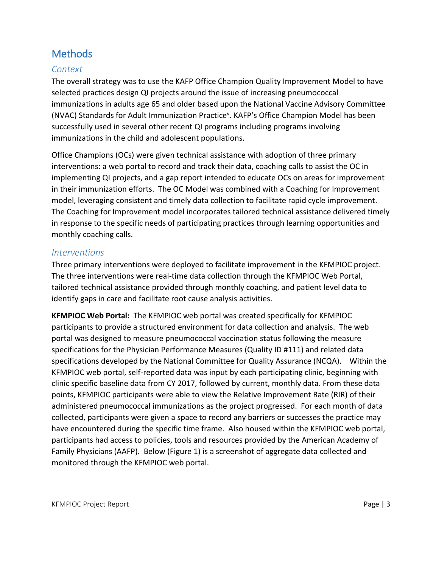# Methods

## *Context*

The overall strategy was to use the KAFP Office Champion Quality Improvement Model to have selected practices design QI projects around the issue of increasing pneumococcal immunizations in adults age 65 and older based upon the National Vaccine Advisory Committee (NVAC) Standards for Adult Immunization Practice<sup>v</sup>. KAFP's Office Champion Model has been successfully used in several other recent QI programs including programs involving immunizations in the child and adolescent populations.

Office Champions (OCs) were given technical assistance with adoption of three primary interventions: a web portal to record and track their data, coaching calls to assist the OC in implementing QI projects, and a gap report intended to educate OCs on areas for improvement in their immunization efforts. The OC Model was combined with a Coaching for Improvement model, leveraging consistent and timely data collection to facilitate rapid cycle improvement. The Coaching for Improvement model incorporates tailored technical assistance delivered timely in response to the specific needs of participating practices through learning opportunities and monthly coaching calls.

### *Interventions*

Three primary interventions were deployed to facilitate improvement in the KFMPIOC project. The three interventions were real-time data collection through the KFMPIOC Web Portal, tailored technical assistance provided through monthly coaching, and patient level data to identify gaps in care and facilitate root cause analysis activities.

**KFMPIOC Web Portal:** The KFMPIOC web portal was created specifically for KFMPIOC participants to provide a structured environment for data collection and analysis. The web portal was designed to measure pneumococcal vaccination status following the measure specifications for the Physician Performance Measures (Quality ID #111) and related data specifications developed by the National Committee for Quality Assurance (NCQA). Within the KFMPIOC web portal, self-reported data was input by each participating clinic, beginning with clinic specific baseline data from CY 2017, followed by current, monthly data. From these data points, KFMPIOC participants were able to view the Relative Improvement Rate (RIR) of their administered pneumococcal immunizations as the project progressed. For each month of data collected, participants were given a space to record any barriers or successes the practice may have encountered during the specific time frame. Also housed within the KFMPIOC web portal, participants had access to policies, tools and resources provided by the American Academy of Family Physicians (AAFP). Below (Figure 1) is a screenshot of aggregate data collected and monitored through the KFMPIOC web portal.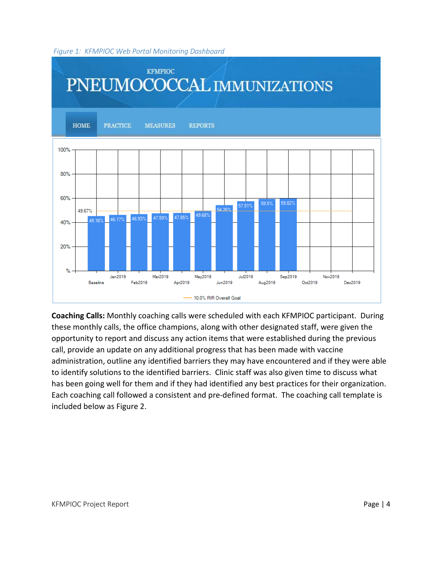#### *Figure 1: KFMPIOC Web Portal Monitoring Dashboard*



**Coaching Calls:** Monthly coaching calls were scheduled with each KFMPIOC participant. During these monthly calls, the office champions, along with other designated staff, were given the opportunity to report and discuss any action items that were established during the previous call, provide an update on any additional progress that has been made with vaccine administration, outline any identified barriers they may have encountered and if they were able to identify solutions to the identified barriers. Clinic staff was also given time to discuss what has been going well for them and if they had identified any best practices for their organization. Each coaching call followed a consistent and pre-defined format. The coaching call template is included below as Figure 2.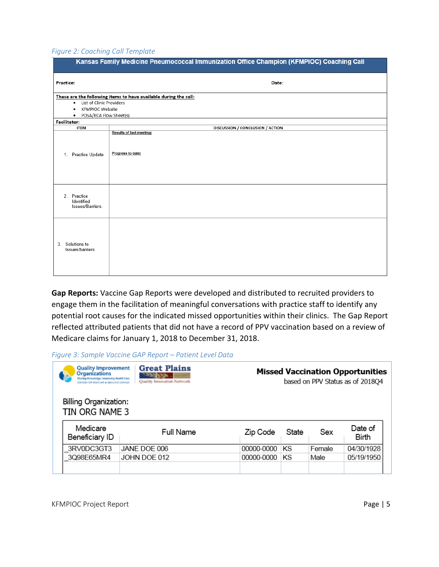#### *Figure 2: Coaching Call Template*

| Kansas Family Medicine Pneumococcal Immunization Office Champion (KFMPIOC) Coaching Call |                                                                  |  |  |  |
|------------------------------------------------------------------------------------------|------------------------------------------------------------------|--|--|--|
| Practice:                                                                                | Date:                                                            |  |  |  |
| List of Clinic Providers<br>٠<br><b>KFMPIOC Website</b><br>٠                             | These are the following items to have available during the call: |  |  |  |
| PDSA/RCA Flow Sheet(s)<br>$\bullet$<br>Facilitator:                                      |                                                                  |  |  |  |
| <b>ITEM</b>                                                                              | DISCUSSION / CONCLUSION / ACTION                                 |  |  |  |
| Practice Update<br>1.                                                                    | Results of last meeting:<br>Progress to date:                    |  |  |  |
| 2. Practice<br>Identified<br>Issues/Barriers                                             |                                                                  |  |  |  |
| 3. Solutions to<br>Issues/barriers                                                       |                                                                  |  |  |  |

**Gap Reports:** Vaccine Gap Reports were developed and distributed to recruited providers to engage them in the facilitation of meaningful conversations with practice staff to identify any potential root causes for the indicated missed opportunities within their clinics. The Gap Report reflected attributed patients that did not have a record of PPV vaccination based on a review of Medicare claims for January 1, 2018 to December 31, 2018.

*Figure 3: Sample Vaccine GAP Report – Patient Level Data*

| <b>Great Plains</b><br><b>Quality Improvement</b><br><b>Organizations</b><br>Sharing Knowledge, Improving Health Care.<br>Quality Innovation Network<br><b>ENTIRE FOR MEDICARS &amp; MADICAID SERVICE</b> |            |       |        | <b>Missed Vaccination Opportunities</b><br>based on PPV Status as of 2018Q4 |  |  |  |
|-----------------------------------------------------------------------------------------------------------------------------------------------------------------------------------------------------------|------------|-------|--------|-----------------------------------------------------------------------------|--|--|--|
| Billing Organization:<br>TIN ORG NAME 3                                                                                                                                                                   |            |       |        |                                                                             |  |  |  |
| <b>Full Name</b>                                                                                                                                                                                          | Zip Code   | State | Sex    | Date of<br><b>Birth</b>                                                     |  |  |  |
| JANE DOE 006                                                                                                                                                                                              | 00000-0000 | ΚS    | Female | 04/30/1928                                                                  |  |  |  |
| JOHN DOE 012                                                                                                                                                                                              | 00000-0000 | ΚS    | Male   | 05/19/1950                                                                  |  |  |  |
|                                                                                                                                                                                                           |            |       |        |                                                                             |  |  |  |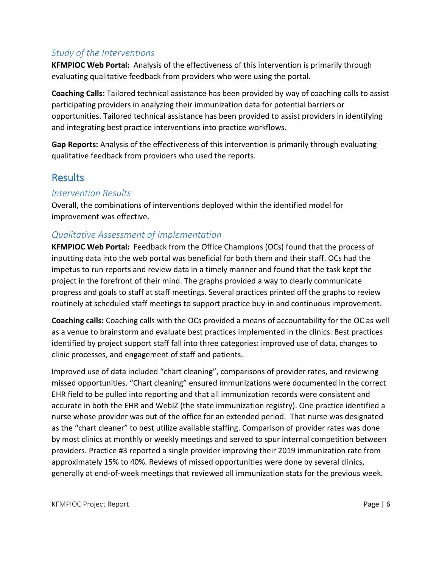## *Study of the Interventions*

**KFMPIOC Web Portal:** Analysis of the effectiveness of this intervention is primarily through evaluating qualitative feedback from providers who were using the portal.

**Coaching Calls:** Tailored technical assistance has been provided by way of coaching calls to assist participating providers in analyzing their immunization data for potential barriers or opportunities. Tailored technical assistance has been provided to assist providers in identifying and integrating best practice interventions into practice workflows.

**Gap Reports:** Analysis of the effectiveness of this intervention is primarily through evaluating qualitative feedback from providers who used the reports.

# Results

## *Intervention Results*

Overall, the combinations of interventions deployed within the identified model for improvement was effective.

## *Qualitative Assessment of Implementation*

**KFMPIOC Web Portal:** Feedback from the Office Champions (OCs) found that the process of inputting data into the web portal was beneficial for both them and their staff. OCs had the impetus to run reports and review data in a timely manner and found that the task kept the project in the forefront of their mind. The graphs provided a way to clearly communicate progress and goals to staff at staff meetings. Several practices printed off the graphs to review routinely at scheduled staff meetings to support practice buy-in and continuous improvement.

**Coaching calls:** Coaching calls with the OCs provided a means of accountability for the OC as well as a venue to brainstorm and evaluate best practices implemented in the clinics. Best practices identified by project support staff fall into three categories: improved use of data, changes to clinic processes, and engagement of staff and patients.

Improved use of data included "chart cleaning", comparisons of provider rates, and reviewing missed opportunities. "Chart cleaning" ensured immunizations were documented in the correct EHR field to be pulled into reporting and that all immunization records were consistent and accurate in both the EHR and WebIZ (the state immunization registry). One practice identified a nurse whose provider was out of the office for an extended period. That nurse was designated as the "chart cleaner" to best utilize available staffing. Comparison of provider rates was done by most clinics at monthly or weekly meetings and served to spur internal competition between providers. Practice #3 reported a single provider improving their 2019 immunization rate from approximately 15% to 40%. Reviews of missed opportunities were done by several clinics, generally at end-of-week meetings that reviewed all immunization stats for the previous week.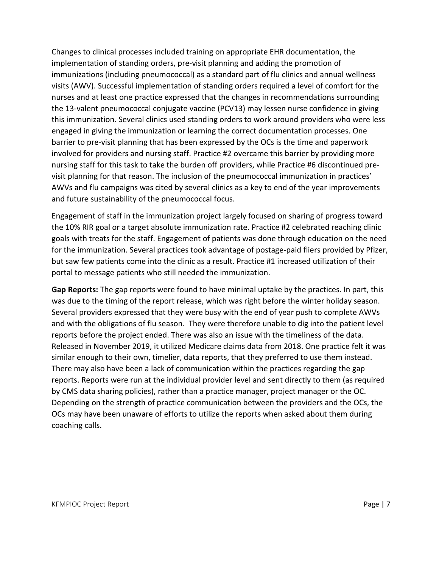Changes to clinical processes included training on appropriate EHR documentation, the implementation of standing orders, pre-visit planning and adding the promotion of immunizations (including pneumococcal) as a standard part of flu clinics and annual wellness visits (AWV). Successful implementation of standing orders required a level of comfort for the nurses and at least one practice expressed that the changes in recommendations surrounding the 13-valent pneumococcal conjugate vaccine (PCV13) may lessen nurse confidence in giving this immunization. Several clinics used standing orders to work around providers who were less engaged in giving the immunization or learning the correct documentation processes. One barrier to pre-visit planning that has been expressed by the OCs is the time and paperwork involved for providers and nursing staff. Practice #2 overcame this barrier by providing more nursing staff for this task to take the burden off providers, while Practice #6 discontinued previsit planning for that reason. The inclusion of the pneumococcal immunization in practices' AWVs and flu campaigns was cited by several clinics as a key to end of the year improvements and future sustainability of the pneumococcal focus.

Engagement of staff in the immunization project largely focused on sharing of progress toward the 10% RIR goal or a target absolute immunization rate. Practice #2 celebrated reaching clinic goals with treats for the staff. Engagement of patients was done through education on the need for the immunization. Several practices took advantage of postage-paid fliers provided by Pfizer, but saw few patients come into the clinic as a result. Practice #1 increased utilization of their portal to message patients who still needed the immunization.

**Gap Reports:** The gap reports were found to have minimal uptake by the practices. In part, this was due to the timing of the report release, which was right before the winter holiday season. Several providers expressed that they were busy with the end of year push to complete AWVs and with the obligations of flu season. They were therefore unable to dig into the patient level reports before the project ended. There was also an issue with the timeliness of the data. Released in November 2019, it utilized Medicare claims data from 2018. One practice felt it was similar enough to their own, timelier, data reports, that they preferred to use them instead. There may also have been a lack of communication within the practices regarding the gap reports. Reports were run at the individual provider level and sent directly to them (as required by CMS data sharing policies), rather than a practice manager, project manager or the OC. Depending on the strength of practice communication between the providers and the OCs, the OCs may have been unaware of efforts to utilize the reports when asked about them during coaching calls.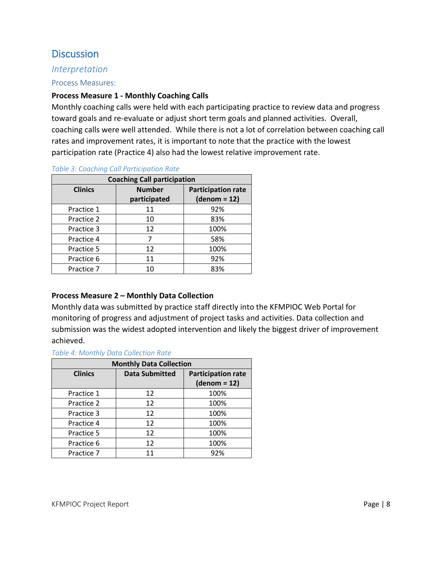# **Discussion**

### *Interpretation*

#### Process Measures:

### **Process Measure 1 - Monthly Coaching Calls**

Monthly coaching calls were held with each participating practice to review data and progress toward goals and re-evaluate or adjust short term goals and planned activities. Overall, coaching calls were well attended. While there is not a lot of correlation between coaching call rates and improvement rates, it is important to note that the practice with the lowest participation rate (Practice 4) also had the lowest relative improvement rate.

| <b>Coaching Call participation</b> |                               |                                             |  |  |
|------------------------------------|-------------------------------|---------------------------------------------|--|--|
| <b>Clinics</b>                     | <b>Number</b><br>participated | <b>Participation rate</b><br>$(denom = 12)$ |  |  |
| Practice 1                         | 11                            | 92%                                         |  |  |
| Practice 2                         | 10                            | 83%                                         |  |  |
| Practice 3                         | 12                            | 100%                                        |  |  |
| Practice 4                         |                               | 58%                                         |  |  |
| Practice 5                         | 12                            | 100%                                        |  |  |
| Practice 6                         | 11                            | 92%                                         |  |  |
| Practice 7                         | 10                            | 83%                                         |  |  |

#### *Table 3: Coaching Call Participation Rate*

### **Process Measure 2 – Monthly Data Collection**

Monthly data was submitted by practice staff directly into the KFMPIOC Web Portal for monitoring of progress and adjustment of project tasks and activities. Data collection and submission was the widest adopted intervention and likely the biggest driver of improvement achieved.

### *Table 4: Monthly Data Collection Rate*

| <b>Monthly Data Collection</b> |                       |                                             |  |  |
|--------------------------------|-----------------------|---------------------------------------------|--|--|
| <b>Clinics</b>                 | <b>Data Submitted</b> | <b>Participation rate</b><br>$(denom = 12)$ |  |  |
| Practice 1                     | 12                    | 100%                                        |  |  |
| Practice 2                     | 12                    | 100%                                        |  |  |
| Practice 3                     | 12                    | 100%                                        |  |  |
| Practice 4                     | 12                    | 100%                                        |  |  |
| Practice 5                     | 12                    | 100%                                        |  |  |
| Practice 6                     | 12                    | 100%                                        |  |  |
| Practice 7                     | 11                    | 92%                                         |  |  |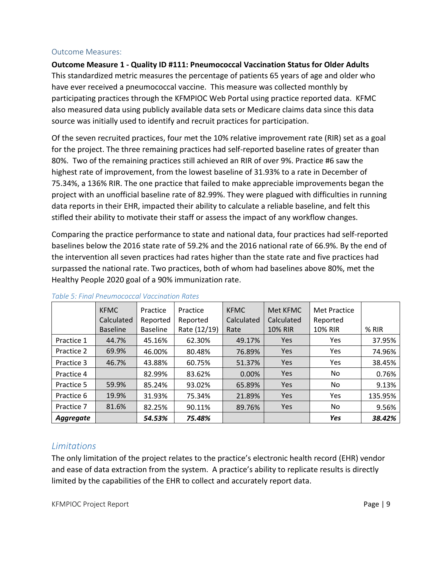#### Outcome Measures:

**Outcome Measure 1 - Quality ID #111: Pneumococcal Vaccination Status for Older Adults** This standardized metric measures the percentage of patients 65 years of age and older who have ever received a pneumococcal vaccine. This measure was collected monthly by participating practices through the KFMPIOC Web Portal using practice reported data. KFMC also measured data using publicly available data sets or Medicare claims data since this data source was initially used to identify and recruit practices for participation.

Of the seven recruited practices, four met the 10% relative improvement rate (RIR) set as a goal for the project. The three remaining practices had self-reported baseline rates of greater than 80%. Two of the remaining practices still achieved an RIR of over 9%. Practice #6 saw the highest rate of improvement, from the lowest baseline of 31.93% to a rate in December of 75.34%, a 136% RIR. The one practice that failed to make appreciable improvements began the project with an unofficial baseline rate of 82.99%. They were plagued with difficulties in running data reports in their EHR, impacted their ability to calculate a reliable baseline, and felt this stifled their ability to motivate their staff or assess the impact of any workflow changes.

Comparing the practice performance to state and national data, four practices had self-reported baselines below the 2016 state rate of 59.2% and the 2016 national rate of 66.9%. By the end of the intervention all seven practices had rates higher than the state rate and five practices had surpassed the national rate. Two practices, both of whom had baselines above 80%, met the Healthy People 2020 goal of a 90% immunization rate.

|            | <b>KFMC</b>     | Practice        | Practice     | <b>KFMC</b> | Met KFMC       | <b>Met Practice</b> |         |
|------------|-----------------|-----------------|--------------|-------------|----------------|---------------------|---------|
|            | Calculated      | Reported        | Reported     | Calculated  | Calculated     | Reported            |         |
|            | <b>Baseline</b> | <b>Baseline</b> | Rate (12/19) | Rate        | <b>10% RIR</b> | <b>10% RIR</b>      | % RIR   |
| Practice 1 | 44.7%           | 45.16%          | 62.30%       | 49.17%      | Yes            | Yes                 | 37.95%  |
| Practice 2 | 69.9%           | 46.00%          | 80.48%       | 76.89%      | Yes            | Yes                 | 74.96%  |
| Practice 3 | 46.7%           | 43.88%          | 60.75%       | 51.37%      | Yes            | Yes                 | 38.45%  |
| Practice 4 |                 | 82.99%          | 83.62%       | 0.00%       | Yes            | No.                 | 0.76%   |
| Practice 5 | 59.9%           | 85.24%          | 93.02%       | 65.89%      | <b>Yes</b>     | No.                 | 9.13%   |
| Practice 6 | 19.9%           | 31.93%          | 75.34%       | 21.89%      | Yes            | Yes                 | 135.95% |
| Practice 7 | 81.6%           | 82.25%          | 90.11%       | 89.76%      | Yes            | No.                 | 9.56%   |
| Aggregate  |                 | 54.53%          | 75.48%       |             |                | Yes                 | 38.42%  |

### *Table 5: Final Pneumococcal Vaccination Rates*

## *Limitations*

The only limitation of the project relates to the practice's electronic health record (EHR) vendor and ease of data extraction from the system. A practice's ability to replicate results is directly limited by the capabilities of the EHR to collect and accurately report data.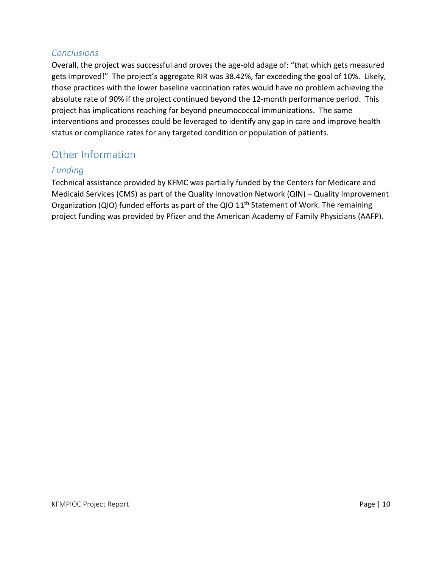### *Conclusions*

Overall, the project was successful and proves the age-old adage of: "that which gets measured gets improved!" The project's aggregate RIR was 38.42%, far exceeding the goal of 10%. Likely, those practices with the lower baseline vaccination rates would have no problem achieving the absolute rate of 90% if the project continued beyond the 12-month performance period. This project has implications reaching far beyond pneumococcal immunizations. The same interventions and processes could be leveraged to identify any gap in care and improve health status or compliance rates for any targeted condition or population of patients.

# Other Information

## *Funding*

Technical assistance provided by KFMC was partially funded by the Centers for Medicare and Medicaid Services (CMS) as part of the Quality Innovation Network (QIN) – Quality Improvement Organization (QIO) funded efforts as part of the QIO  $11<sup>th</sup>$  Statement of Work. The remaining project funding was provided by Pfizer and the American Academy of Family Physicians (AAFP).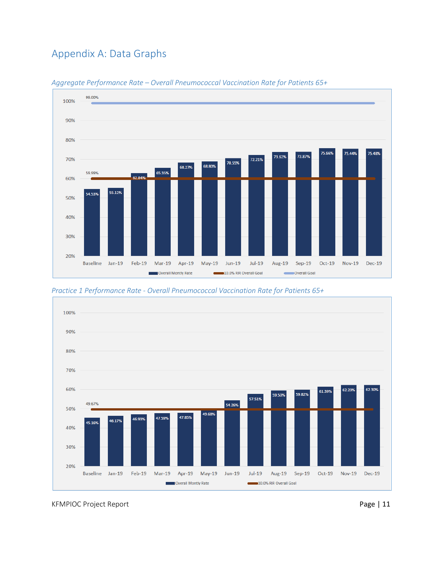# Appendix A: Data Graphs



*Aggregate Performance Rate – Overall Pneumococcal Vaccination Rate for Patients 65+*

*Practice 1 Performance Rate - Overall Pneumococcal Vaccination Rate for Patients 65+*



KFMPIOC Project Report **Page | 11**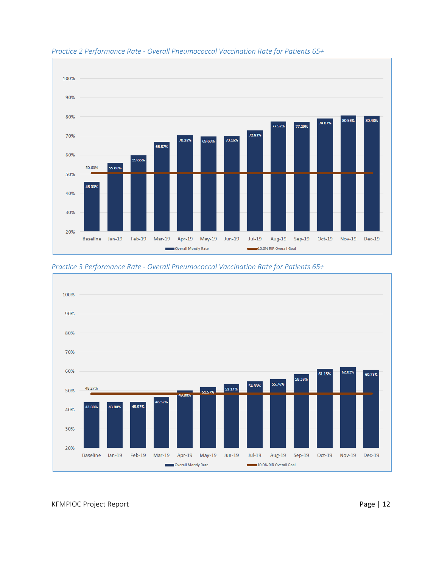

#### *Practice 2 Performance Rate - Overall Pneumococcal Vaccination Rate for Patients 65+*



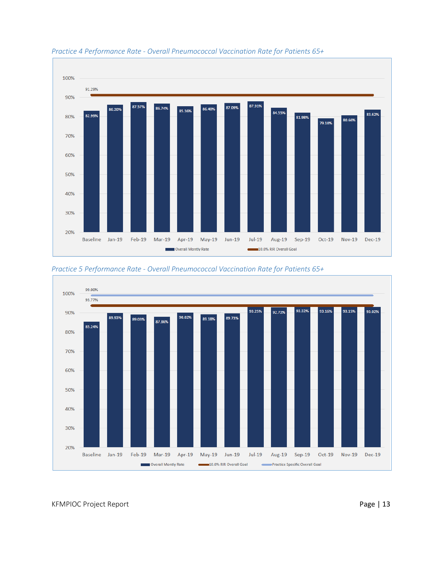

#### *Practice 4 Performance Rate - Overall Pneumococcal Vaccination Rate for Patients 65+*



*Practice 5 Performance Rate - Overall Pneumococcal Vaccination Rate for Patients 65+*

KFMPIOC Project Report **Page | 13**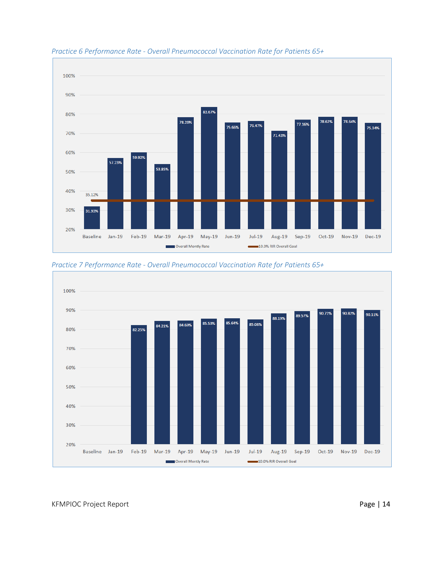

#### *Practice 6 Performance Rate - Overall Pneumococcal Vaccination Rate for Patients 65+*



*Practice 7 Performance Rate - Overall Pneumococcal Vaccination Rate for Patients 65+*